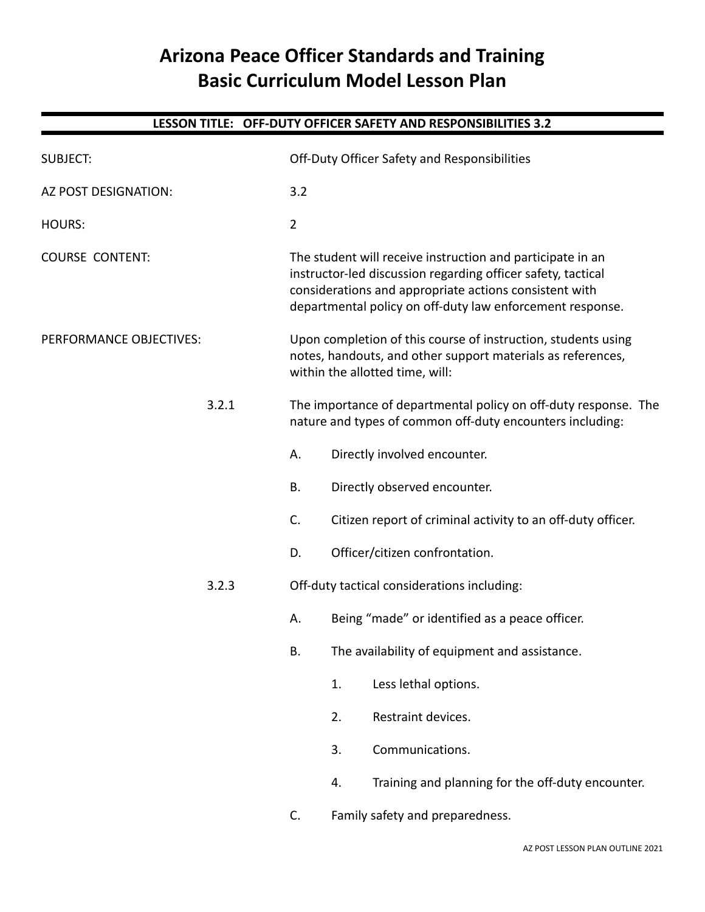# **Arizona Peace Officer Standards and Training Basic Curriculum Model Lesson Plan**

## **LESSON TITLE: OFF-DUTY OFFICER SAFETY AND RESPONSIBILITIES 3.2**

| <b>SUBJECT:</b>         |                | Off-Duty Officer Safety and Responsibilities                                                                                                                                                                                                      |  |
|-------------------------|----------------|---------------------------------------------------------------------------------------------------------------------------------------------------------------------------------------------------------------------------------------------------|--|
| AZ POST DESIGNATION:    | 3.2            |                                                                                                                                                                                                                                                   |  |
| <b>HOURS:</b>           | $\overline{2}$ |                                                                                                                                                                                                                                                   |  |
| <b>COURSE CONTENT:</b>  |                | The student will receive instruction and participate in an<br>instructor-led discussion regarding officer safety, tactical<br>considerations and appropriate actions consistent with<br>departmental policy on off-duty law enforcement response. |  |
| PERFORMANCE OBJECTIVES: |                | Upon completion of this course of instruction, students using<br>notes, handouts, and other support materials as references,<br>within the allotted time, will:                                                                                   |  |
| 3.2.1                   |                | The importance of departmental policy on off-duty response. The<br>nature and types of common off-duty encounters including:                                                                                                                      |  |
|                         | А.             | Directly involved encounter.                                                                                                                                                                                                                      |  |
|                         | <b>B.</b>      | Directly observed encounter.                                                                                                                                                                                                                      |  |
|                         | C.             | Citizen report of criminal activity to an off-duty officer.                                                                                                                                                                                       |  |
|                         | D.             | Officer/citizen confrontation.                                                                                                                                                                                                                    |  |
| 3.2.3                   |                | Off-duty tactical considerations including:                                                                                                                                                                                                       |  |
|                         | А.             | Being "made" or identified as a peace officer.                                                                                                                                                                                                    |  |
|                         | В.             | The availability of equipment and assistance.                                                                                                                                                                                                     |  |
|                         |                | Less lethal options.<br>1.                                                                                                                                                                                                                        |  |
|                         |                | Restraint devices.<br>2.                                                                                                                                                                                                                          |  |
|                         |                | Communications.<br>3.                                                                                                                                                                                                                             |  |
|                         |                | Training and planning for the off-duty encounter.<br>4.                                                                                                                                                                                           |  |
|                         | C.             | Family safety and preparedness.                                                                                                                                                                                                                   |  |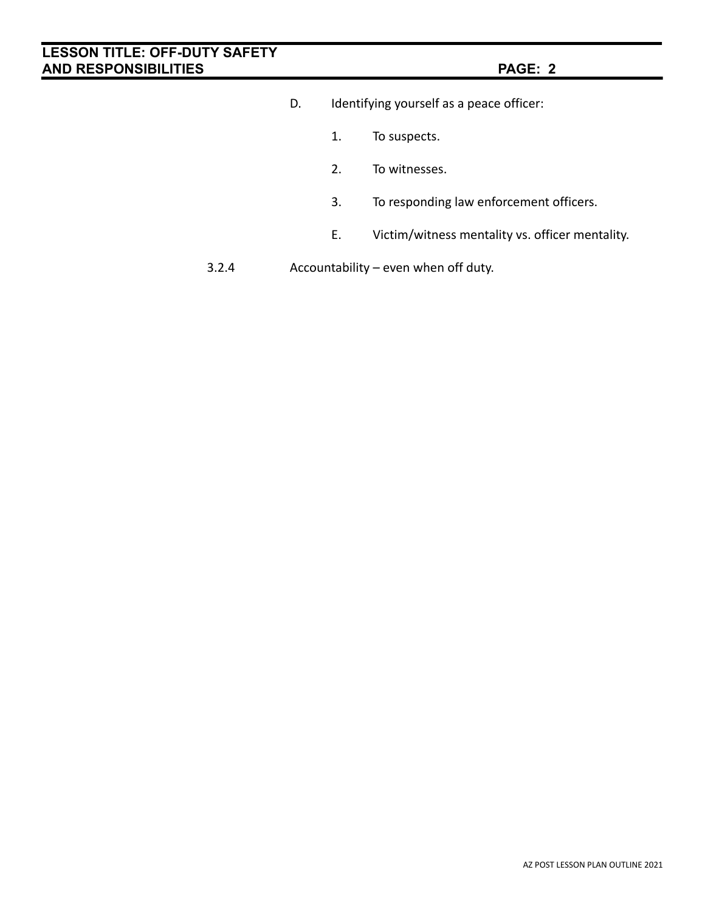- D. Identifying yourself as a peace officer:
	- 1. To suspects.
	- 2. To witnesses.
	- 3. To responding law enforcement officers.
	- E. Victim/witness mentality vs. officer mentality.
- 3.2.4 Accountability even when off duty.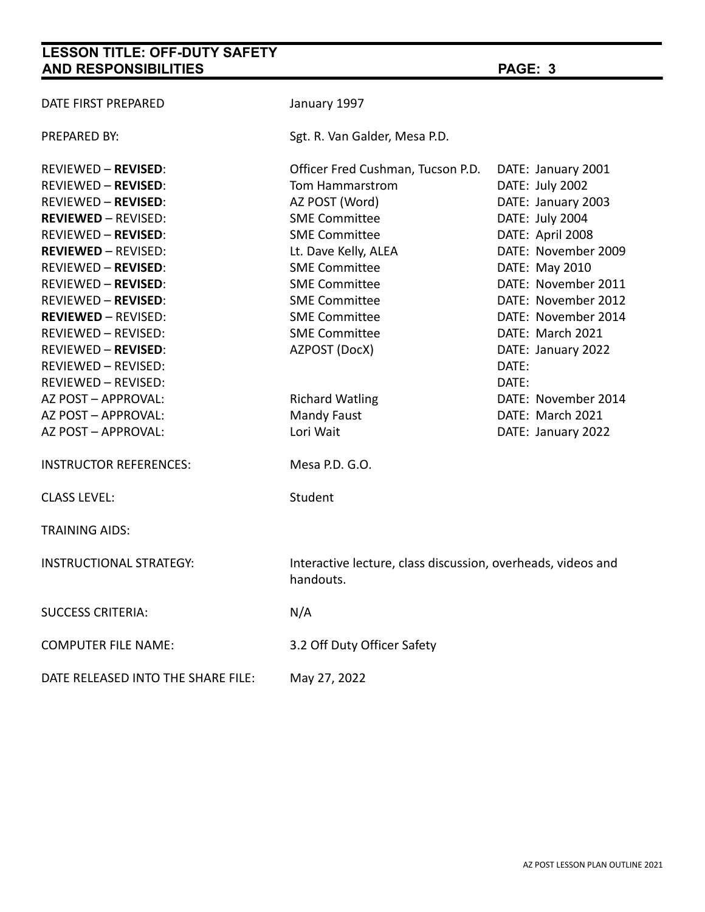| DATE FIRST PREPARED                | January 1997                                                              |                     |  |
|------------------------------------|---------------------------------------------------------------------------|---------------------|--|
| PREPARED BY:                       | Sgt. R. Van Galder, Mesa P.D.                                             |                     |  |
| REVIEWED <b>– REVISED</b> :        | Officer Fred Cushman, Tucson P.D.                                         | DATE: January 2001  |  |
| <b>REVIEWED - REVISED:</b>         | Tom Hammarstrom                                                           | DATE: July 2002     |  |
| REVIEWED <b>– REVISED</b> :        | AZ POST (Word)                                                            | DATE: January 2003  |  |
| <b>REVIEWED - REVISED:</b>         | <b>SME Committee</b>                                                      | DATE: July 2004     |  |
| <b>REVIEWED - REVISED:</b>         | <b>SME Committee</b>                                                      | DATE: April 2008    |  |
| <b>REVIEWED - REVISED:</b>         | Lt. Dave Kelly, ALEA                                                      | DATE: November 2009 |  |
| REVIEWED – <b>REVISED</b> :        | <b>SME Committee</b>                                                      | DATE: May 2010      |  |
| <b>REVIEWED - REVISED:</b>         | <b>SME Committee</b>                                                      | DATE: November 2011 |  |
| <b>REVIEWED - REVISED:</b>         | <b>SME Committee</b>                                                      | DATE: November 2012 |  |
| <b>REVIEWED - REVISED:</b>         | <b>SME Committee</b>                                                      | DATE: November 2014 |  |
| <b>REVIEWED - REVISED:</b>         | <b>SME Committee</b>                                                      | DATE: March 2021    |  |
| REVIEWED <b>– REVISED</b> :        | AZPOST (DocX)                                                             | DATE: January 2022  |  |
| <b>REVIEWED - REVISED:</b>         |                                                                           | DATE:               |  |
| <b>REVIEWED - REVISED:</b>         |                                                                           | DATE:               |  |
| AZ POST - APPROVAL:                | <b>Richard Watling</b>                                                    | DATE: November 2014 |  |
| AZ POST - APPROVAL:                | <b>Mandy Faust</b>                                                        | DATE: March 2021    |  |
| AZ POST - APPROVAL:                | Lori Wait                                                                 | DATE: January 2022  |  |
| <b>INSTRUCTOR REFERENCES:</b>      | Mesa P.D. G.O.                                                            |                     |  |
| <b>CLASS LEVEL:</b>                | Student                                                                   |                     |  |
| <b>TRAINING AIDS:</b>              |                                                                           |                     |  |
| <b>INSTRUCTIONAL STRATEGY:</b>     | Interactive lecture, class discussion, overheads, videos and<br>handouts. |                     |  |
| <b>SUCCESS CRITERIA:</b>           | N/A                                                                       |                     |  |
| <b>COMPUTER FILE NAME:</b>         | 3.2 Off Duty Officer Safety                                               |                     |  |
| DATE RELEASED INTO THE SHARE FILE: | May 27, 2022                                                              |                     |  |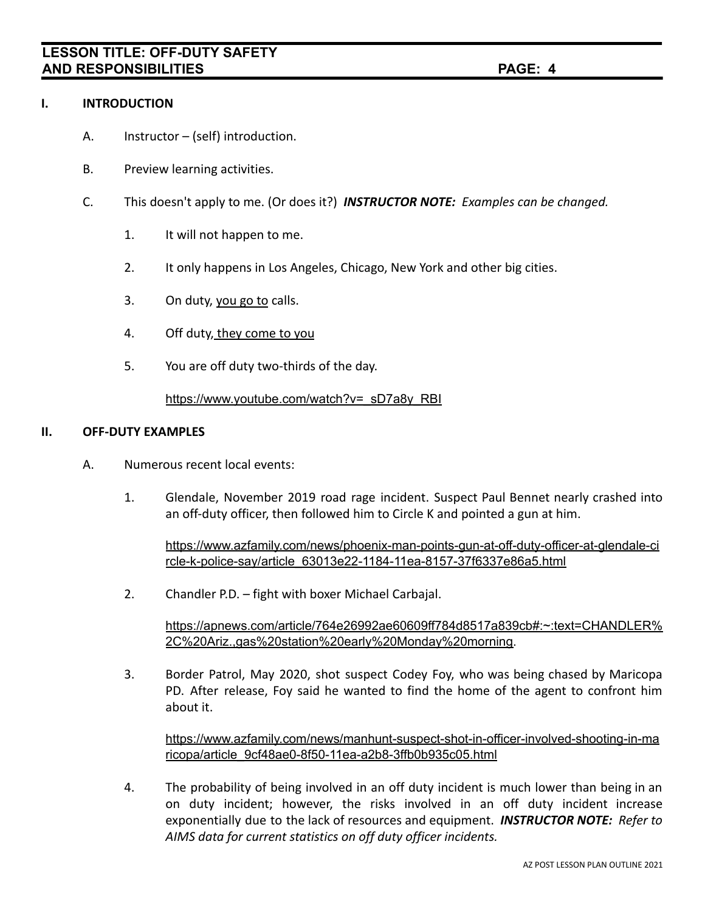### **I. INTRODUCTION**

- A. Instructor (self) introduction.
- B. Preview learning activities.
- C. This doesn't apply to me. (Or does it?) *INSTRUCTOR NOTE: Examples can be changed.*
	- 1. It will not happen to me.
	- 2. It only happens in Los Angeles, Chicago, New York and other big cities.
	- 3. On duty, you go to calls.
	- 4. Off duty, they come to you
	- 5. You are off duty two-thirds of the day.

[https://www.youtube.com/watch?v=\\_sD7a8y\\_RBI](https://www.youtube.com/watch?v=_sD7a8y_RBI)

### **II. OFF-DUTY EXAMPLES**

- A. Numerous recent local events:
	- 1. Glendale, November 2019 road rage incident. Suspect Paul Bennet nearly crashed into an off-duty officer, then followed him to Circle K and pointed a gun at him.

[https://www.azfamily.com/news/phoenix-man-points-gun-at-off-duty-officer-at-glendale-ci](https://www.azfamily.com/news/phoenix-man-points-gun-at-off-duty-officer-at-glendale-circle-k-police-say/article_63013e22-1184-11ea-8157-37f6337e86a5.html) [rcle-k-police-say/article\\_63013e22-1184-11ea-8157-37f6337e86a5.html](https://www.azfamily.com/news/phoenix-man-points-gun-at-off-duty-officer-at-glendale-circle-k-police-say/article_63013e22-1184-11ea-8157-37f6337e86a5.html)

2. Chandler P.D. – fight with boxer Michael Carbajal.

[https://apnews.com/article/764e26992ae60609ff784d8517a839cb#:~:text=CHANDLER%](https://apnews.com/article/764e26992ae60609ff784d8517a839cb#:~:text=CHANDLER%2C%20Ariz.,gas%20station%20early%20Monday%20morning) [2C%20Ariz.,gas%20station%20early%20Monday%20morning.](https://apnews.com/article/764e26992ae60609ff784d8517a839cb#:~:text=CHANDLER%2C%20Ariz.,gas%20station%20early%20Monday%20morning)

3. Border Patrol, May 2020, shot suspect Codey Foy, who was being chased by Maricopa PD. After release, Foy said he wanted to find the home of the agent to confront him about it.

[https://www.azfamily.com/news/manhunt-suspect-shot-in-officer-involved-shooting-in-ma](https://www.azfamily.com/news/manhunt-suspect-shot-in-officer-involved-shooting-in-maricopa/article_9cf48ae0-8f50-11ea-a2b8-3ffb0b935c05.html) [ricopa/article\\_9cf48ae0-8f50-11ea-a2b8-3ffb0b935c05.html](https://www.azfamily.com/news/manhunt-suspect-shot-in-officer-involved-shooting-in-maricopa/article_9cf48ae0-8f50-11ea-a2b8-3ffb0b935c05.html)

4. The probability of being involved in an off duty incident is much lower than being in an on duty incident; however, the risks involved in an off duty incident increase exponentially due to the lack of resources and equipment. *INSTRUCTOR NOTE: Refer to AIMS data for current statistics on off duty officer incidents.*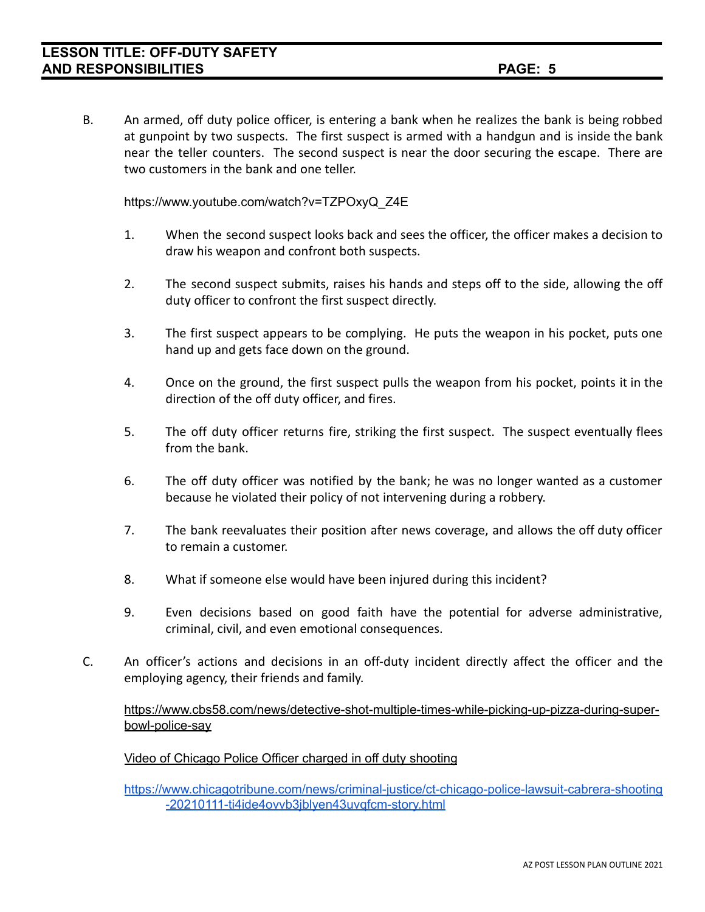B. An armed, off duty police officer, is entering a bank when he realizes the bank is being robbed at gunpoint by two suspects. The first suspect is armed with a handgun and is inside the bank near the teller counters. The second suspect is near the door securing the escape. There are two customers in the bank and one teller.

https://www.youtube.com/watch?v=TZPOxyQ\_Z4E

- 1. When the second suspect looks back and sees the officer, the officer makes a decision to draw his weapon and confront both suspects.
- 2. The second suspect submits, raises his hands and steps off to the side, allowing the off duty officer to confront the first suspect directly.
- 3. The first suspect appears to be complying. He puts the weapon in his pocket, puts one hand up and gets face down on the ground.
- 4. Once on the ground, the first suspect pulls the weapon from his pocket, points it in the direction of the off duty officer, and fires.
- 5. The off duty officer returns fire, striking the first suspect. The suspect eventually flees from the bank.
- 6. The off duty officer was notified by the bank; he was no longer wanted as a customer because he violated their policy of not intervening during a robbery.
- 7. The bank reevaluates their position after news coverage, and allows the off duty officer to remain a customer.
- 8. What if someone else would have been injured during this incident?
- 9. Even decisions based on good faith have the potential for adverse administrative, criminal, civil, and even emotional consequences.
- C. An officer's actions and decisions in an off-duty incident directly affect the officer and the employing agency, their friends and family.

[https://www.cbs58.com/news/detective-shot-multiple-times-while-picking-up-pizza-during-super](https://www.cbs58.com/news/detective-shot-multiple-times-while-picking-up-pizza-during-super-bowl-police-say)[bowl-police-say](https://www.cbs58.com/news/detective-shot-multiple-times-while-picking-up-pizza-during-super-bowl-police-say)

Video of Chicago Police Officer charged in off duty shooting

[https://www.chicagotribune.com/news/criminal-justice/ct-chicago-police-lawsuit-cabrera-shooting](https://www.chicagotribune.com/news/criminal-justice/ct-chicago-police-lawsuit-cabrera-shooting-20210111-ti4ide4ovvb3jblyen43uvqfcm-story.html) [-20210111-ti4ide4ovvb3jblyen43uvqfcm-story.html](https://www.chicagotribune.com/news/criminal-justice/ct-chicago-police-lawsuit-cabrera-shooting-20210111-ti4ide4ovvb3jblyen43uvqfcm-story.html)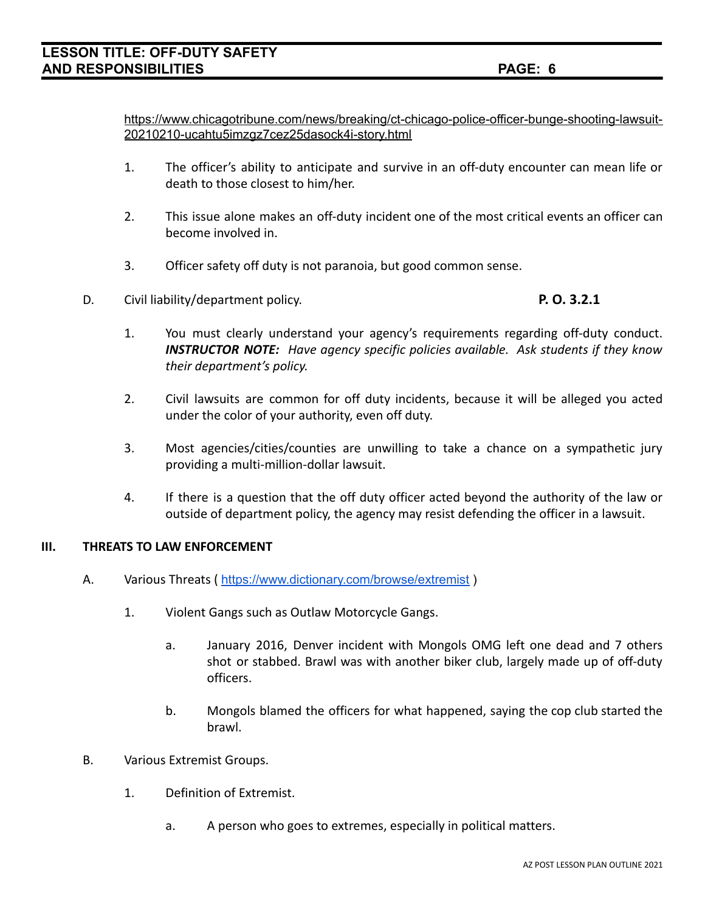[https://www.chicagotribune.com/news/breaking/ct-chicago-police-officer-bunge-shooting-lawsuit-](https://www.chicagotribune.com/news/breaking/ct-chicago-police-officer-bunge-shooting-lawsuit-20210210-ucahtu5imzgz7cez25dasock4i-story.html)[20210210-ucahtu5imzgz7cez25dasock4i-story.html](https://www.chicagotribune.com/news/breaking/ct-chicago-police-officer-bunge-shooting-lawsuit-20210210-ucahtu5imzgz7cez25dasock4i-story.html)

- 1. The officer's ability to anticipate and survive in an off-duty encounter can mean life or death to those closest to him/her.
- 2. This issue alone makes an off-duty incident one of the most critical events an officer can become involved in.
- 3. Officer safety off duty is not paranoia, but good common sense.
- D. Civil liability/department policy. **P. O. 3.2.1**

- 1. You must clearly understand your agency's requirements regarding off-duty conduct. *INSTRUCTOR NOTE: Have agency specific policies available. Ask students if they know their department's policy.*
- 2. Civil lawsuits are common for off duty incidents, because it will be alleged you acted under the color of your authority, even off duty.
- 3. Most agencies/cities/counties are unwilling to take a chance on a sympathetic jury providing a multi-million-dollar lawsuit.
- 4. If there is a question that the off duty officer acted beyond the authority of the law or outside of department policy, the agency may resist defending the officer in a lawsuit.

## **III. THREATS TO LAW ENFORCEMENT**

- A. Various Threats ( <https://www.dictionary.com/browse/extremist> )
	- 1. Violent Gangs such as Outlaw Motorcycle Gangs.
		- a. January 2016, Denver incident with Mongols OMG left one dead and 7 others shot or stabbed. Brawl was with another biker club, largely made up of off-duty officers.
		- b. Mongols blamed the officers for what happened, saying the cop club started the brawl.
- B. Various Extremist Groups.
	- 1. Definition of Extremist.
		- a. A person who goes to extremes, especially in political matters.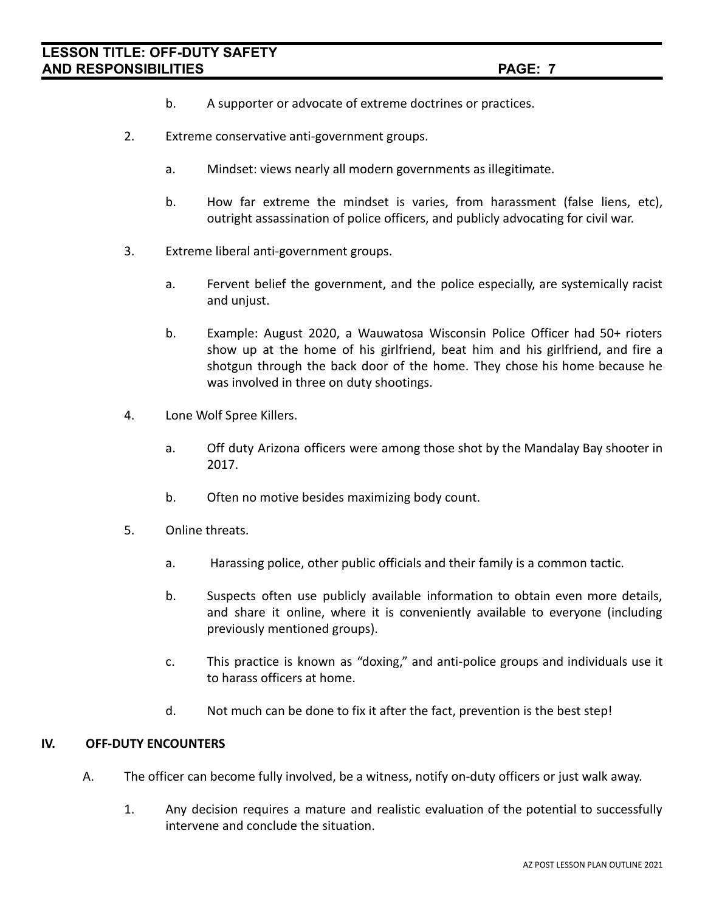- b. A supporter or advocate of extreme doctrines or practices.
- 2. Extreme conservative anti-government groups.
	- a. Mindset: views nearly all modern governments as illegitimate.
	- b. How far extreme the mindset is varies, from harassment (false liens, etc), outright assassination of police officers, and publicly advocating for civil war.
- 3. Extreme liberal anti-government groups.
	- a. Fervent belief the government, and the police especially, are systemically racist and unjust.
	- b. Example: August 2020, a Wauwatosa Wisconsin Police Officer had 50+ rioters show up at the home of his girlfriend, beat him and his girlfriend, and fire a shotgun through the back door of the home. They chose his home because he was involved in three on duty shootings.
- 4. Lone Wolf Spree Killers.
	- a. Off duty Arizona officers were among those shot by the Mandalay Bay shooter in 2017.
	- b. Often no motive besides maximizing body count.
- 5. Online threats.
	- a. Harassing police, other public officials and their family is a common tactic.
	- b. Suspects often use publicly available information to obtain even more details, and share it online, where it is conveniently available to everyone (including previously mentioned groups).
	- c. This practice is known as "doxing," and anti-police groups and individuals use it to harass officers at home.
	- d. Not much can be done to fix it after the fact, prevention is the best step!

### **IV. OFF-DUTY ENCOUNTERS**

- A. The officer can become fully involved, be a witness, notify on-duty officers or just walk away.
	- 1. Any decision requires a mature and realistic evaluation of the potential to successfully intervene and conclude the situation.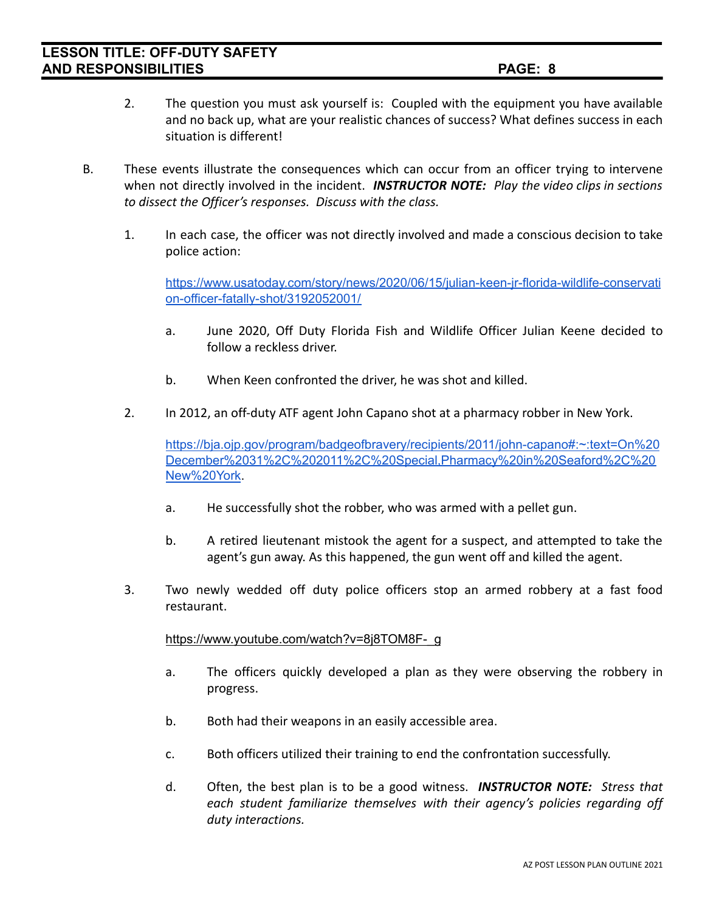- 2. The question you must ask yourself is: Coupled with the equipment you have available and no back up, what are your realistic chances of success? What defines success in each situation is different!
- B. These events illustrate the consequences which can occur from an officer trying to intervene when not directly involved in the incident. *INSTRUCTOR NOTE: Play the video clips in sections to dissect the Officer's responses. Discuss with the class.*
	- 1. In each case, the officer was not directly involved and made a conscious decision to take police action:

[https://www.usatoday.com/story/news/2020/06/15/julian-keen-jr-florida-wildlife-conservati](https://www.usatoday.com/story/news/2020/06/15/julian-keen-jr-florida-wildlife-conservation-officer-fatally-shot/3192052001/) [on-officer-fatally-shot/3192052001/](https://www.usatoday.com/story/news/2020/06/15/julian-keen-jr-florida-wildlife-conservation-officer-fatally-shot/3192052001/)

- a. June 2020, Off Duty Florida Fish and Wildlife Officer Julian Keene decided to follow a reckless driver.
- b. When Keen confronted the driver, he was shot and killed.
- 2. In 2012, an off-duty ATF agent John Capano shot at a pharmacy robber in New York.

[https://bja.ojp.gov/program/badgeofbravery/recipients/2011/john-capano#:~:text=On%20](https://bja.ojp.gov/program/badgeofbravery/recipients/2011/john-capano#:~:text=On%20December%2031%2C%202011%2C%20Special,Pharmacy%20in%20Seaford%2C%20New%20York) [December%2031%2C%202011%2C%20Special,Pharmacy%20in%20Seaford%2C%20](https://bja.ojp.gov/program/badgeofbravery/recipients/2011/john-capano#:~:text=On%20December%2031%2C%202011%2C%20Special,Pharmacy%20in%20Seaford%2C%20New%20York) [New%20York](https://bja.ojp.gov/program/badgeofbravery/recipients/2011/john-capano#:~:text=On%20December%2031%2C%202011%2C%20Special,Pharmacy%20in%20Seaford%2C%20New%20York).

- a. He successfully shot the robber, who was armed with a pellet gun.
- b. A retired lieutenant mistook the agent for a suspect, and attempted to take the agent's gun away. As this happened, the gun went off and killed the agent.
- 3. Two newly wedded off duty police officers stop an armed robbery at a fast food restaurant.

[https://www.youtube.com/watch?v=8j8TOM8F-\\_g](https://www.youtube.com/watch?v=8j8TOM8F-_g)

- a. The officers quickly developed a plan as they were observing the robbery in progress.
- b. Both had their weapons in an easily accessible area.
- c. Both officers utilized their training to end the confrontation successfully.
- d. Often, the best plan is to be a good witness. *INSTRUCTOR NOTE: Stress that each student familiarize themselves with their agency's policies regarding off duty interactions.*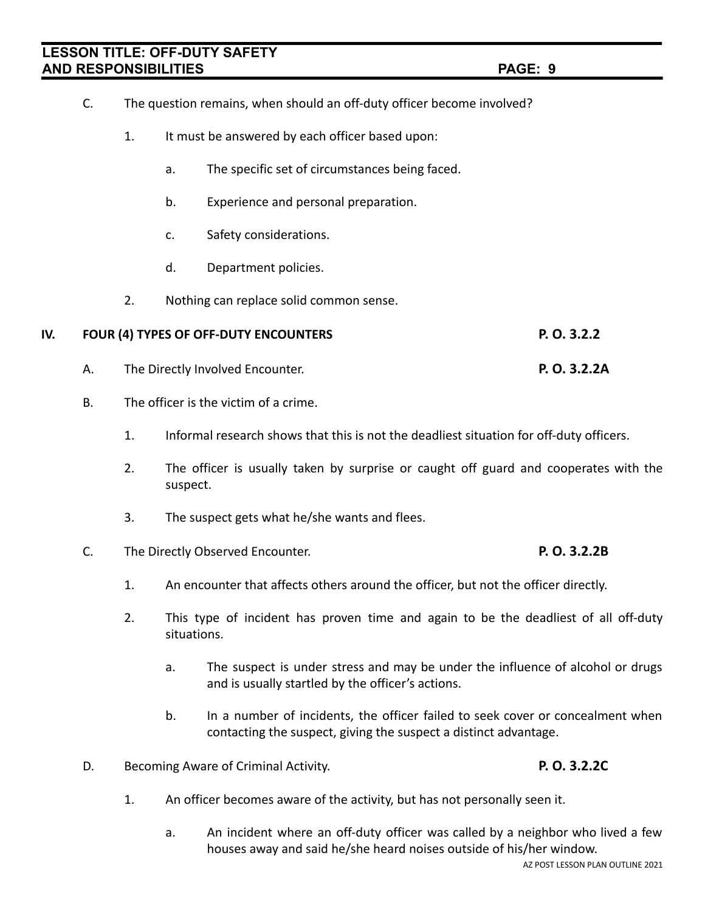- C. The question remains, when should an off-duty officer become involved?
	- 1. It must be answered by each officer based upon:
		- a. The specific set of circumstances being faced.
		- b. Experience and personal preparation.
		- c. Safety considerations.
		- d. Department policies.
	- 2. Nothing can replace solid common sense.

## **IV. FOUR (4) TYPES OF OFF-DUTY ENCOUNTERS P. O. 3.2.2**

- A. The Directly Involved Encounter. **P. O. 3.2.2A**
- B. The officer is the victim of a crime.
	- 1. Informal research shows that this is not the deadliest situation for off-duty officers.
	- 2. The officer is usually taken by surprise or caught off guard and cooperates with the suspect.
	- 3. The suspect gets what he/she wants and flees.
- C. The Directly Observed Encounter. **P. O. 3.2.2B**
	- 1. An encounter that affects others around the officer, but not the officer directly.
	- 2. This type of incident has proven time and again to be the deadliest of all off-duty situations.
		- a. The suspect is under stress and may be under the influence of alcohol or drugs and is usually startled by the officer's actions.
		- b. In a number of incidents, the officer failed to seek cover or concealment when contacting the suspect, giving the suspect a distinct advantage.
- D. Becoming Aware of Criminal Activity. **P. O. 3.2.2C**
	- 1. An officer becomes aware of the activity, but has not personally seen it.
		- a. An incident where an off-duty officer was called by a neighbor who lived a few houses away and said he/she heard noises outside of his/her window.

AZ POST LESSON PLAN OUTLINE 2021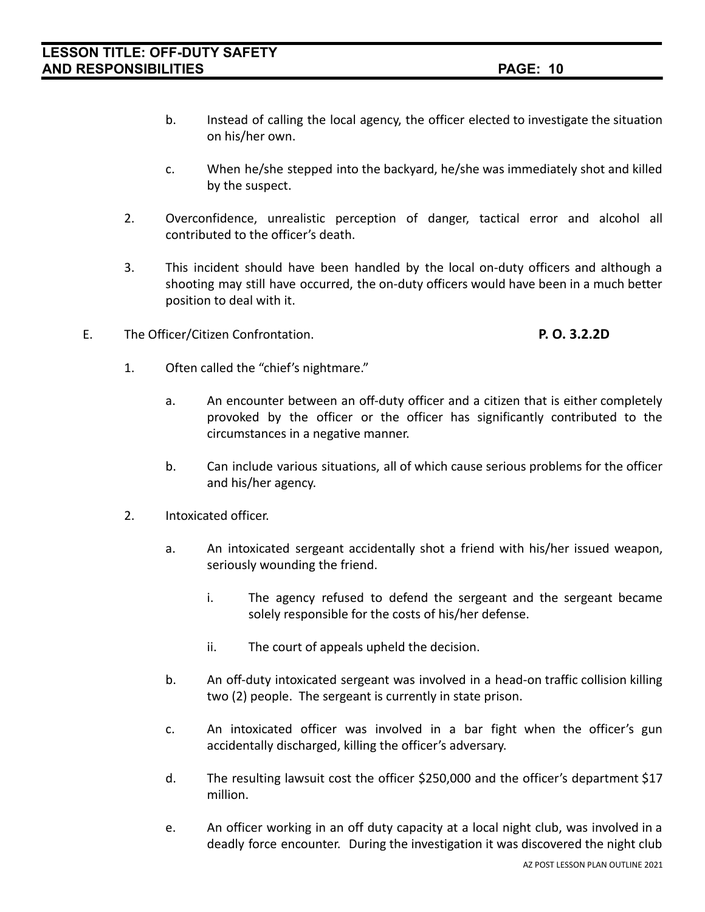- b. Instead of calling the local agency, the officer elected to investigate the situation on his/her own.
- c. When he/she stepped into the backyard, he/she was immediately shot and killed by the suspect.
- 2. Overconfidence, unrealistic perception of danger, tactical error and alcohol all contributed to the officer's death.
- 3. This incident should have been handled by the local on-duty officers and although a shooting may still have occurred, the on-duty officers would have been in a much better position to deal with it.
- E. The Officer/Citizen Confrontation. **P. O. 3.2.2D**

- 1. Often called the "chief's nightmare."
	- a. An encounter between an off-duty officer and a citizen that is either completely provoked by the officer or the officer has significantly contributed to the circumstances in a negative manner.
	- b. Can include various situations, all of which cause serious problems for the officer and his/her agency.
- 2. Intoxicated officer.
	- a. An intoxicated sergeant accidentally shot a friend with his/her issued weapon, seriously wounding the friend.
		- i. The agency refused to defend the sergeant and the sergeant became solely responsible for the costs of his/her defense.
		- ii. The court of appeals upheld the decision.
	- b. An off-duty intoxicated sergeant was involved in a head-on traffic collision killing two (2) people. The sergeant is currently in state prison.
	- c. An intoxicated officer was involved in a bar fight when the officer's gun accidentally discharged, killing the officer's adversary.
	- d. The resulting lawsuit cost the officer \$250,000 and the officer's department \$17 million.
	- e. An officer working in an off duty capacity at a local night club, was involved in a deadly force encounter. During the investigation it was discovered the night club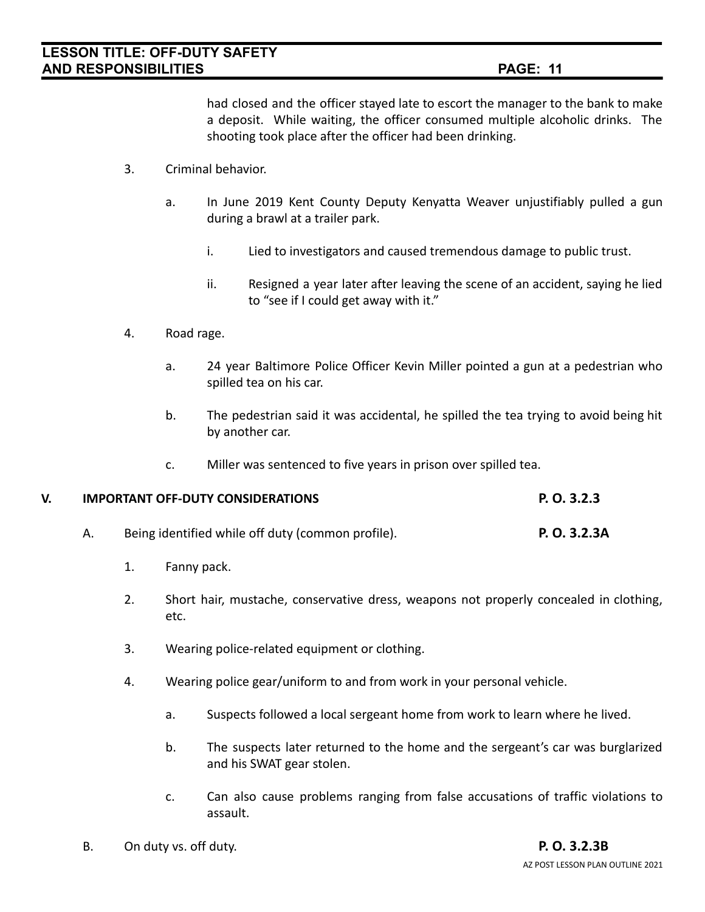had closed and the officer stayed late to escort the manager to the bank to make a deposit. While waiting, the officer consumed multiple alcoholic drinks. The shooting took place after the officer had been drinking.

- 3. Criminal behavior.
	- a. In June 2019 Kent County Deputy Kenyatta Weaver unjustifiably pulled a gun during a brawl at a trailer park.
		- i. Lied to investigators and caused tremendous damage to public trust.
		- ii. Resigned a year later after leaving the scene of an accident, saying he lied to "see if I could get away with it."
- 4. Road rage.
	- a. 24 year Baltimore Police Officer Kevin Miller pointed a gun at a pedestrian who spilled tea on his car.
	- b. The pedestrian said it was accidental, he spilled the tea trying to avoid being hit by another car.
	- c. Miller was sentenced to five years in prison over spilled tea.

## **V. IMPORTANT OFF-DUTY CONSIDERATIONS P. O. 3.2.3**

- A. Being identified while off duty (common profile). **P. O. 3.2.3A**
	- 1. Fanny pack.
	- 2. Short hair, mustache, conservative dress, weapons not properly concealed in clothing, etc.
	- 3. Wearing police-related equipment or clothing.
	- 4. Wearing police gear/uniform to and from work in your personal vehicle.
		- a. Suspects followed a local sergeant home from work to learn where he lived.
		- b. The suspects later returned to the home and the sergeant's car was burglarized and his SWAT gear stolen.
		- c. Can also cause problems ranging from false accusations of traffic violations to assault.
- B. On duty vs. off duty. **P. O. 3.2.3B**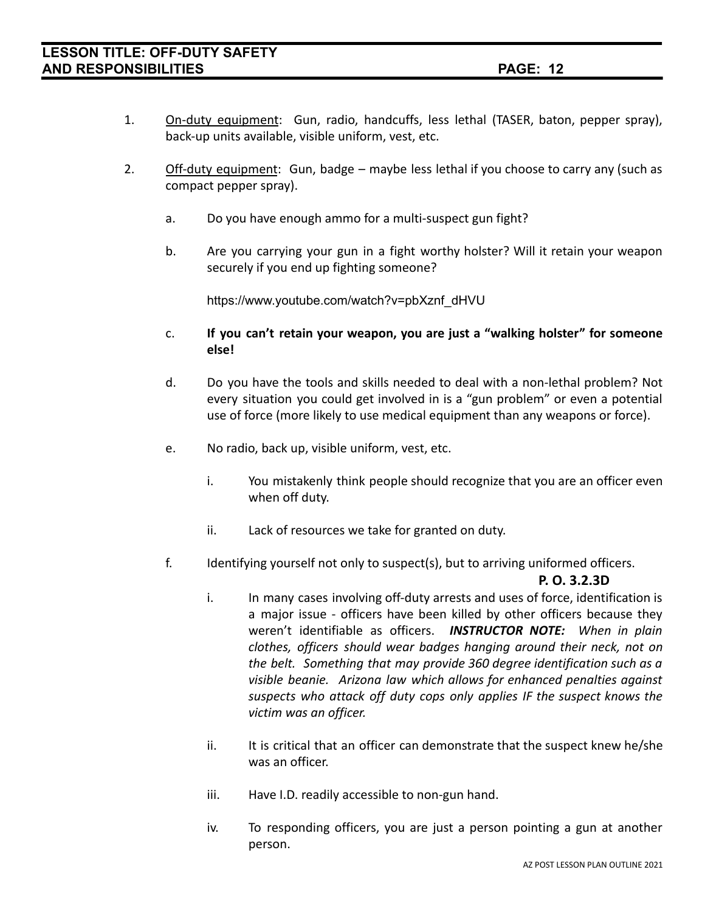- 1. On-duty equipment: Gun, radio, handcuffs, less lethal (TASER, baton, pepper spray), back-up units available, visible uniform, vest, etc.
- 2. Off-duty equipment: Gun, badge maybe less lethal if you choose to carry any (such as compact pepper spray).
	- a. Do you have enough ammo for a multi-suspect gun fight?
	- b. Are you carrying your gun in a fight worthy holster? Will it retain your weapon securely if you end up fighting someone?

https://www.youtube.com/watch?v=pbXznf\_dHVU

- c. **If you can't retain your weapon, you are just a "walking holster" for someone else!**
- d. Do you have the tools and skills needed to deal with a non-lethal problem? Not every situation you could get involved in is a "gun problem" or even a potential use of force (more likely to use medical equipment than any weapons or force).
- e. No radio, back up, visible uniform, vest, etc.
	- i. You mistakenly think people should recognize that you are an officer even when off duty.
	- ii. Lack of resources we take for granted on duty.
- f. Identifying yourself not only to suspect(s), but to arriving uniformed officers.

### **P. O. 3.2.3D**

- i. In many cases involving off-duty arrests and uses of force, identification is a major issue - officers have been killed by other officers because they weren't identifiable as officers. *INSTRUCTOR NOTE: When in plain clothes, officers should wear badges hanging around their neck, not on the belt. Something that may provide 360 degree identification such as a visible beanie. Arizona law which allows for enhanced penalties against suspects who attack off duty cops only applies IF the suspect knows the victim was an officer.*
- ii. It is critical that an officer can demonstrate that the suspect knew he/she was an officer.
- iii. Have I.D. readily accessible to non-gun hand.
- iv. To responding officers, you are just a person pointing a gun at another person.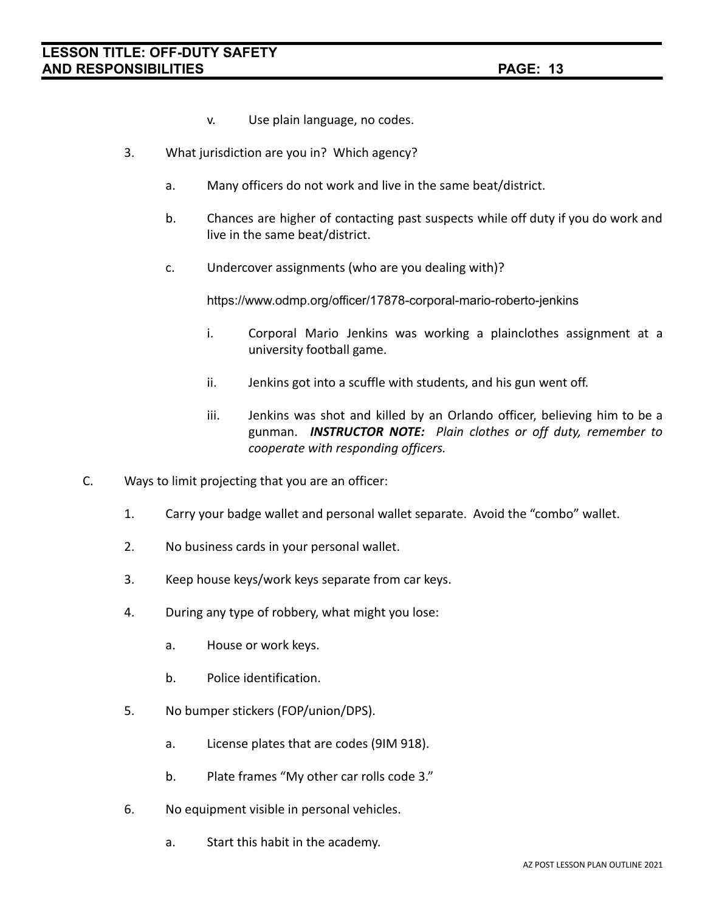- v. Use plain language, no codes.
- 3. What jurisdiction are you in? Which agency?
	- a. Many officers do not work and live in the same beat/district.
	- b. Chances are higher of contacting past suspects while off duty if you do work and live in the same beat/district.
	- c. Undercover assignments (who are you dealing with)?

https://www.odmp.org/officer/17878-corporal-mario-roberto-jenkins

- i. Corporal Mario Jenkins was working a plainclothes assignment at a university football game.
- ii. Jenkins got into a scuffle with students, and his gun went off.
- iii. Jenkins was shot and killed by an Orlando officer, believing him to be a gunman. *INSTRUCTOR NOTE: Plain clothes or off duty, remember to cooperate with responding officers.*
- C. Ways to limit projecting that you are an officer:
	- 1. Carry your badge wallet and personal wallet separate. Avoid the "combo" wallet.
	- 2. No business cards in your personal wallet.
	- 3. Keep house keys/work keys separate from car keys.
	- 4. During any type of robbery, what might you lose:
		- a. House or work keys.
		- b. Police identification.
	- 5. No bumper stickers (FOP/union/DPS).
		- a. License plates that are codes (9IM 918).
		- b. Plate frames "My other car rolls code 3."
	- 6. No equipment visible in personal vehicles.
		- a. Start this habit in the academy.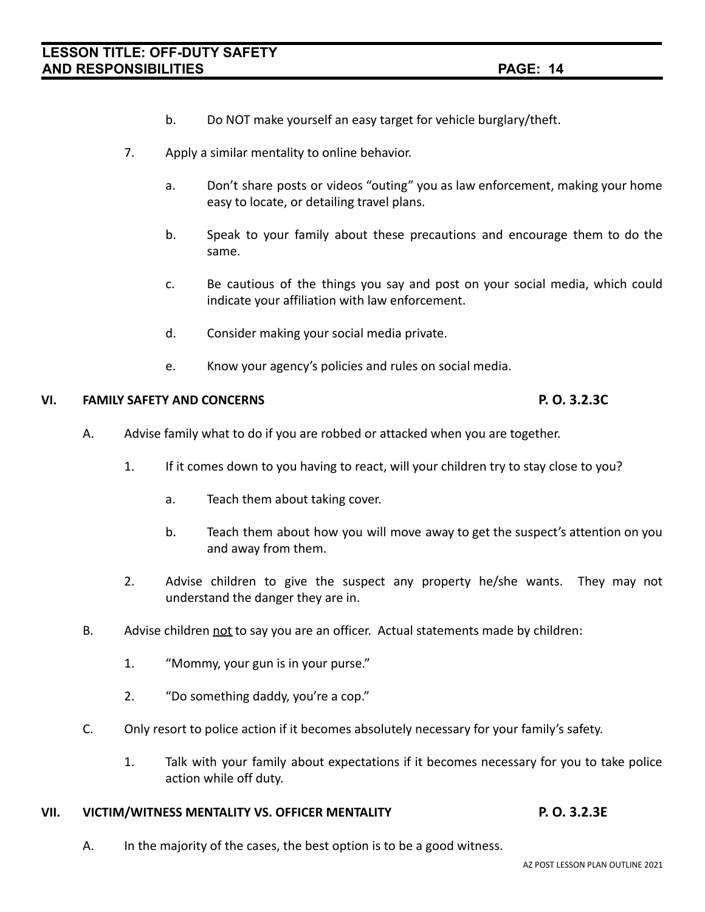- b. Do NOT make yourself an easy target for vehicle burglary/theft.
- 7. Apply a similar mentality to online behavior.
	- a. Don't share posts or videos "outing" you as law enforcement, making your home easy to locate, or detailing travel plans.
	- b. Speak to your family about these precautions and encourage them to do the same.
	- c. Be cautious of the things you say and post on your social media, which could indicate your affiliation with law enforcement.
	- d. Consider making your social media private.
	- e. Know your agency's policies and rules on social media.

## **VI. FAMILY SAFETY AND CONCERNS P. O. 3.2.3C**

# A. Advise family what to do if you are robbed or attacked when you are together.

- 1. If it comes down to you having to react, will your children try to stay close to you?
	- a. Teach them about taking cover.
	- b. Teach them about how you will move away to get the suspect's attention on you and away from them.
- 2. Advise children to give the suspect any property he/she wants. They may not understand the danger they are in.
- B. Advise children not to say you are an officer. Actual statements made by children:
	- 1. "Mommy, your gun is in your purse."
	- 2. "Do something daddy, you're a cop."
- C. Only resort to police action if it becomes absolutely necessary for your family's safety.
	- 1. Talk with your family about expectations if it becomes necessary for you to take police action while off duty.

## **VII. VICTIM/WITNESS MENTALITY VS. OFFICER MENTALITY P. O. 3.2.3E**

A. In the majority of the cases, the best option is to be a good witness.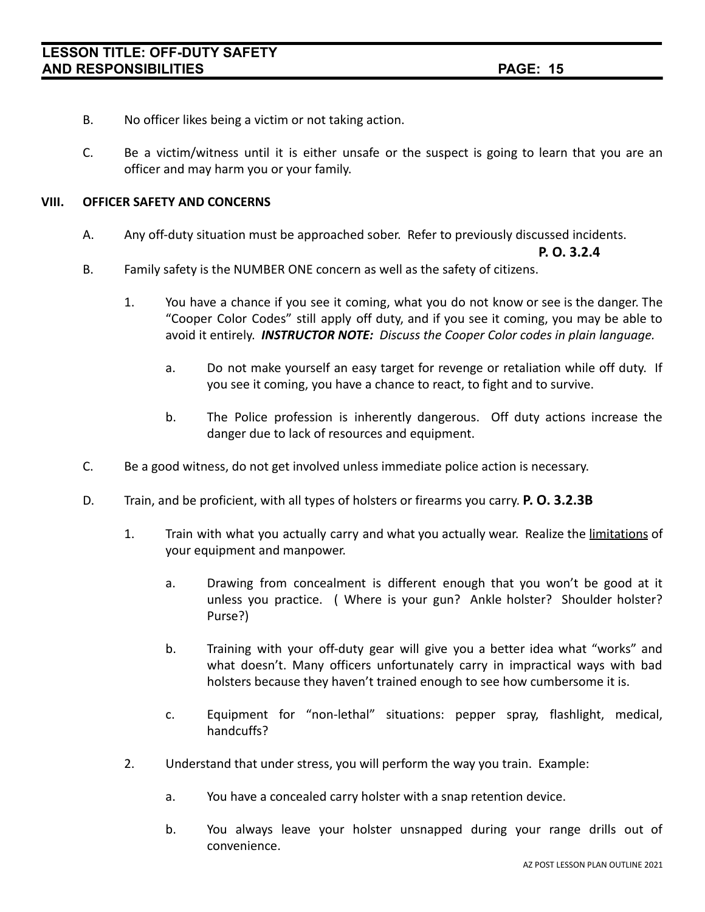- B. No officer likes being a victim or not taking action.
- C. Be a victim/witness until it is either unsafe or the suspect is going to learn that you are an officer and may harm you or your family.

### **VIII. OFFICER SAFETY AND CONCERNS**

A. Any off-duty situation must be approached sober. Refer to previously discussed incidents.

**P. O. 3.2.4**

- B. Family safety is the NUMBER ONE concern as well as the safety of citizens.
	- 1. You have a chance if you see it coming, what you do not know or see is the danger. The "Cooper Color Codes" still apply off duty, and if you see it coming, you may be able to avoid it entirely. *INSTRUCTOR NOTE: Discuss the Cooper Color codes in plain language.*
		- a. Do not make yourself an easy target for revenge or retaliation while off duty. If you see it coming, you have a chance to react, to fight and to survive.
		- b. The Police profession is inherently dangerous. Off duty actions increase the danger due to lack of resources and equipment.
- C. Be a good witness, do not get involved unless immediate police action is necessary.
- D. Train, and be proficient, with all types of holsters or firearms you carry. **P. O. 3.2.3B**
	- 1. Train with what you actually carry and what you actually wear. Realize the limitations of your equipment and manpower.
		- a. Drawing from concealment is different enough that you won't be good at it unless you practice. ( Where is your gun? Ankle holster? Shoulder holster? Purse?)
		- b. Training with your off-duty gear will give you a better idea what "works" and what doesn't. Many officers unfortunately carry in impractical ways with bad holsters because they haven't trained enough to see how cumbersome it is.
		- c. Equipment for "non-lethal" situations: pepper spray, flashlight, medical, handcuffs?
	- 2. Understand that under stress, you will perform the way you train. Example:
		- a. You have a concealed carry holster with a snap retention device.
		- b. You always leave your holster unsnapped during your range drills out of convenience.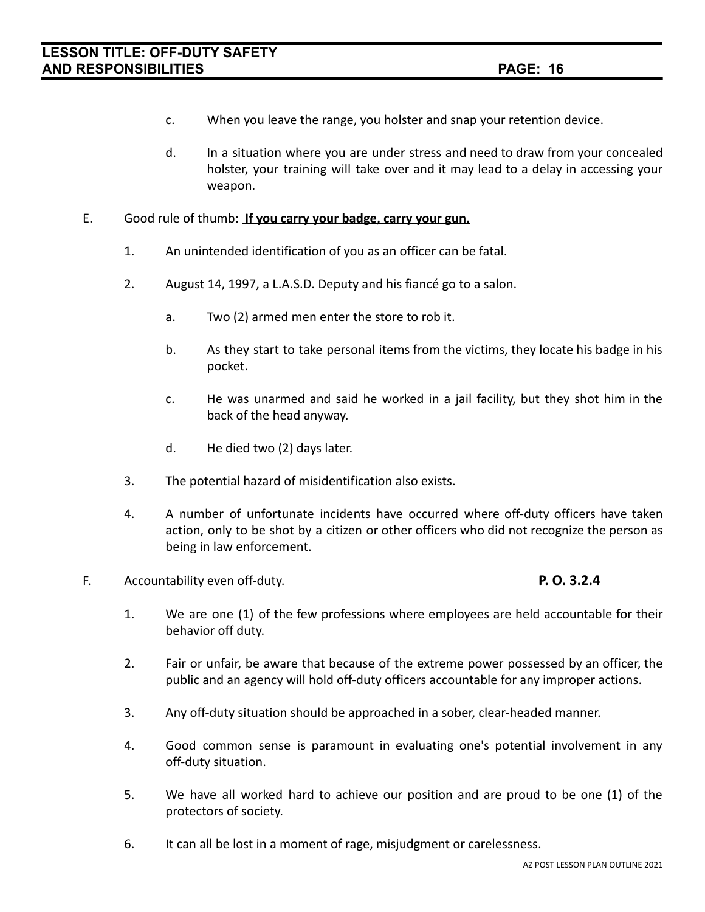- c. When you leave the range, you holster and snap your retention device.
- d. In a situation where you are under stress and need to draw from your concealed holster, your training will take over and it may lead to a delay in accessing your weapon.

### E. Good rule of thumb: **If you carry your badge, carry your gun.**

- 1. An unintended identification of you as an officer can be fatal.
- 2. August 14, 1997, a L.A.S.D. Deputy and his fiancé go to a salon.
	- a. Two (2) armed men enter the store to rob it.
	- b. As they start to take personal items from the victims, they locate his badge in his pocket.
	- c. He was unarmed and said he worked in a jail facility, but they shot him in the back of the head anyway.
	- d. He died two (2) days later.
- 3. The potential hazard of misidentification also exists.
- 4. A number of unfortunate incidents have occurred where off-duty officers have taken action, only to be shot by a citizen or other officers who did not recognize the person as being in law enforcement.
- F. Accountability even off-duty. **P. O. 3.2.4**

- 1. We are one (1) of the few professions where employees are held accountable for their behavior off duty.
- 2. Fair or unfair, be aware that because of the extreme power possessed by an officer, the public and an agency will hold off-duty officers accountable for any improper actions.
- 3. Any off-duty situation should be approached in a sober, clear-headed manner.
- 4. Good common sense is paramount in evaluating one's potential involvement in any off-duty situation.
- 5. We have all worked hard to achieve our position and are proud to be one (1) of the protectors of society.
- 6. It can all be lost in a moment of rage, misjudgment or carelessness.